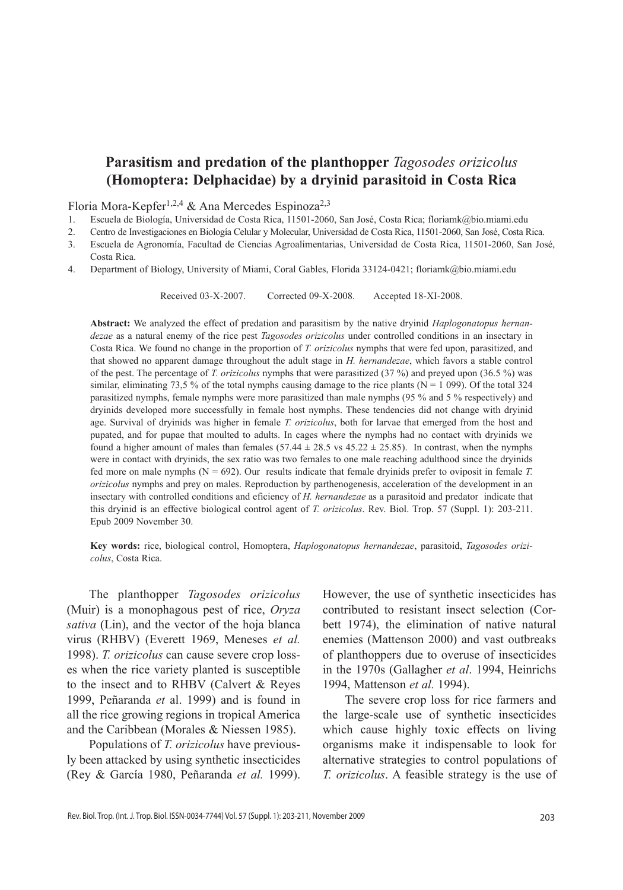# **Parasitism and predation of the planthopper** *Tagosodes orizicolus* **(Homoptera: Delphacidae) by a dryinid parasitoid in Costa Rica**

Floria Mora-Kepfer<sup>1,2,4</sup> & Ana Mercedes Espinoza<sup>2,3</sup>

- 1. Escuela de Biología, Universidad de Costa Rica, 11501-2060, San José, Costa Rica; floriamk@bio.miami.edu
- 2. Centro de Investigaciones en Biología Celular y Molecular, Universidad de Costa Rica, 11501-2060, San José, Costa Rica.
- 3. Escuela de Agronomía, Facultad de Ciencias Agroalimentarias, Universidad de Costa Rica, 11501-2060, San José, Costa Rica.
- 4. Department of Biology, University of Miami, Coral Gables, Florida 33124-0421; floriamk@bio.miami.edu

Received 03-X-2007. Corrected 09-X-2008. Accepted 18-xi-2008.

**Abstract:** We analyzed the effect of predation and parasitism by the native dryinid *Haplogonatopus hernandezae* as a natural enemy of the rice pest *Tagosodes orizicolus* under controlled conditions in an insectary in Costa Rica. We found no change in the proportion of *T. orizicolus* nymphs that were fed upon, parasitized, and that showed no apparent damage throughout the adult stage in *H. hernandezae*, which favors a stable control of the pest. The percentage of *T. orizicolus* nymphs that were parasitized (37 %) and preyed upon (36.5 %) was similar, eliminating 73,5 % of the total nymphs causing damage to the rice plants ( $N = 1$  099). Of the total 324 parasitized nymphs, female nymphs were more parasitized than male nymphs (95 % and 5 % respectively) and dryinids developed more successfully in female host nymphs. These tendencies did not change with dryinid age. Survival of dryinids was higher in female *T. orizicolus*, both for larvae that emerged from the host and pupated, and for pupae that moulted to adults. In cages where the nymphs had no contact with dryinids we found a higher amount of males than females  $(57.44 \pm 28.5 \text{ vs } 45.22 \pm 25.85)$ . In contrast, when the nymphs were in contact with dryinids, the sex ratio was two females to one male reaching adulthood since the dryinids fed more on male nymphs  $(N = 692)$ . Our results indicate that female dryinids prefer to oviposit in female *T*. *orizicolus* nymphs and prey on males. Reproduction by parthenogenesis, acceleration of the development in an insectary with controlled conditions and eficiency of *H. hernandezae* as a parasitoid and predatorindicate that this dryinid is an effective biological control agent of *T. orizicolus*. Rev. Biol. Trop. 57 (Suppl. 1): 203-211. Epub 2009 November 30.

**Key words:** rice, biological control, Homoptera, *Haplogonatopus hernandezae*, parasitoid, *Tagosodes orizicolus*, Costa Rica.

The planthopper *Tagosodes orizicolus* (Muir) is a monophagous pest of rice, *Oryza sativa* (Lin), and the vector of the hoja blanca virus (RHBV) (Everett 1969, Meneses *et al.* 1998). *T. orizicolus* can cause severe crop losses when the rice variety planted is susceptible to the insect and to RHBV (Calvert & Reyes 1999, Peñaranda *et* al. 1999) and is found in all the rice growing regions in tropical America and the Caribbean (Morales & Niessen 1985).

Populations of *T. orizicolus* have previously been attacked by using synthetic insecticides (Rey & García 1980, Peñaranda *et al.* 1999).

However, the use of synthetic insecticides has contributed to resistant insect selection (Corbett 1974), the elimination of native natural enemies (Mattenson 2000) and vast outbreaks of planthoppers due to overuse of insecticides in the 1970s (Gallagher *et al*. 1994, Heinrichs 1994, Mattenson *et al.* 1994).

The severe crop loss for rice farmers and the large-scale use of synthetic insecticides which cause highly toxic effects on living organisms make it indispensable to look for alternative strategies to control populations of *T. orizicolus*. A feasible strategy is the use of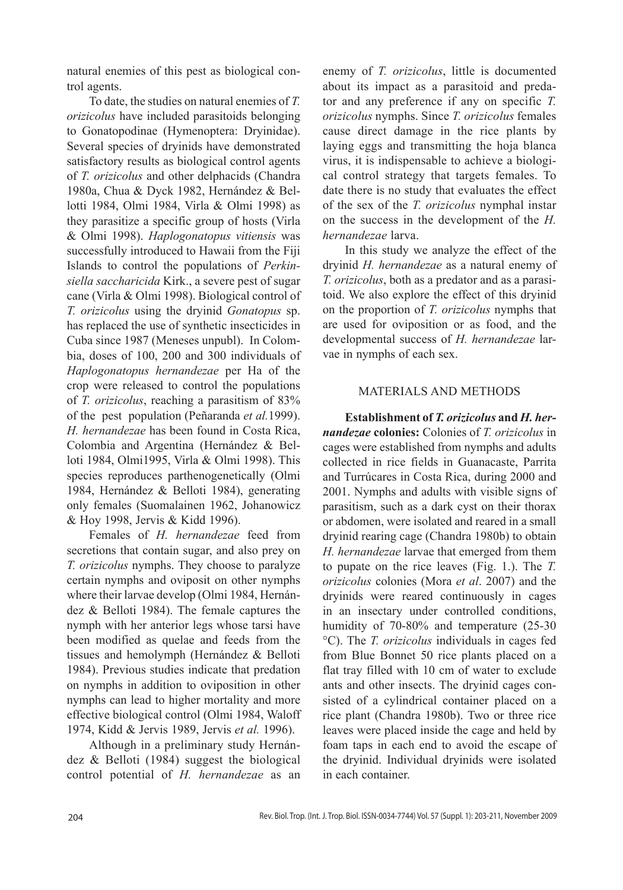natural enemies of this pest as biological control agents.

To date, the studies on natural enemies of *T. orizicolus* have included parasitoids belonging to Gonatopodinae (Hymenoptera: Dryinidae). Several species of dryinids have demonstrated satisfactory results as biological control agents of *T. orizicolus* and other delphacids (Chandra 1980a, Chua & Dyck 1982, Hernández & Bellotti 1984, Olmi 1984, Virla & Olmi 1998) as they parasitize a specific group of hosts (Virla & Olmi 1998). *Haplogonatopus vitiensis* was successfully introduced to Hawaii from the Fiji Islands to control the populations of *Perkinsiella saccharicida* Kirk., a severe pest of sugar cane (Virla & Olmi 1998). Biological control of *T. orizicolus* using the dryinid *Gonatopus* sp. has replaced the use of synthetic insecticides in Cuba since 1987 (Meneses unpubl). In Colombia, doses of 100, 200 and 300 individuals of *Haplogonatopus hernandezae* per Ha of the crop were released to control the populations of *T. orizicolus*, reaching a parasitism of 83% of the pest population (Peñaranda *et al.*1999). *H. hernandezae* has been found in Costa Rica, Colombia and Argentina (Hernández & Belloti 1984, Olmi1995, Virla & Olmi 1998). This species reproduces parthenogenetically (Olmi 1984, Hernández & Belloti 1984), generating only females (Suomalainen 1962, Johanowicz & Hoy 1998, Jervis & Kidd 1996).

Females of *H. hernandezae* feed from secretions that contain sugar, and also prey on *T. orizicolus* nymphs. They choose to paralyze certain nymphs and oviposit on other nymphs where their larvae develop (Olmi 1984, Hernández & Belloti 1984). The female captures the nymph with her anterior legs whose tarsi have been modified as quelae and feeds from the tissues and hemolymph (Hernández & Belloti 1984). Previous studies indicate that predation on nymphs in addition to oviposition in other nymphs can lead to higher mortality and more effective biological control (Olmi 1984, Waloff 1974, Kidd & Jervis 1989, Jervis *et al.* 1996).

Although in a preliminary study Hernández & Belloti (1984) suggest the biological control potential of *H. hernandezae* as an enemy of *T. orizicolus*, little is documented about its impact as a parasitoid and predator and any preference if any on specific *T. orizicolus* nymphs. Since *T. orizicolus* females cause direct damage in the rice plants by laying eggs and transmitting the hoja blanca virus, it is indispensable to achieve a biological control strategy that targets females. To date there is no study that evaluates the effect of the sex of the *T. orizicolus* nymphal instar on the success in the development of the *H. hernandezae* larva.

In this study we analyze the effect of the dryinid *H. hernandezae* as a natural enemy of *T. orizicolus*, both as a predator and as a parasitoid. We also explore the effect of this dryinid on the proportion of *T. orizicolus* nymphs that are used for oviposition or as food, and the developmental success of *H. hernandezae* larvae in nymphs of each sex.

## MATERIALS AND METHODS

**Establishment of** *T. orizicolus* **and** *H. hernandezae* **colonies:** Colonies of *T. orizicolus* in cages were established from nymphs and adults collected in rice fields in Guanacaste, Parrita and Turrúcares in Costa Rica, during 2000 and 2001. Nymphs and adults with visible signs of parasitism, such as a dark cyst on their thorax or abdomen, were isolated and reared in a small dryinid rearing cage (Chandra 1980b) to obtain *H. hernandezae* larvae that emerged from them to pupate on the rice leaves (Fig. 1.). The *T. orizicolus* colonies (Mora *et al*. 2007) and the dryinids were reared continuously in cages in an insectary under controlled conditions, humidity of 70-80% and temperature (25-30 °C). The *T. orizicolus* individuals in cages fed from Blue Bonnet 50 rice plants placed on a flat tray filled with 10 cm of water to exclude ants and other insects. The dryinid cages consisted of a cylindrical container placed on a rice plant (Chandra 1980b). Two or three rice leaves were placed inside the cage and held by foam taps in each end to avoid the escape of the dryinid. Individual dryinids were isolated in each container.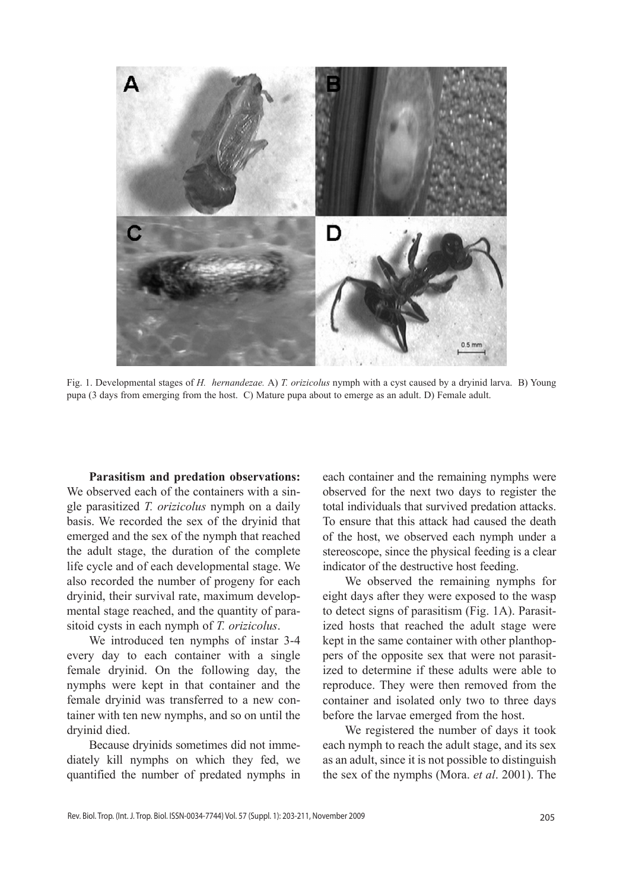

Fig. 1. Developmental stages of *H. hernandezae.* A) *T. orizicolus* nymph with a cyst caused by a dryinid larva. B) Young pupa (3 days from emerging from the host. C) Mature pupa about to emerge as an adult. D) Female adult.

**Parasitism and predation observations:**  We observed each of the containers with a single parasitized *T. orizicolus* nymph on a daily basis. We recorded the sex of the dryinid that emerged and the sex of the nymph that reached the adult stage, the duration of the complete life cycle and of each developmental stage. We also recorded the number of progeny for each dryinid, their survival rate, maximum developmental stage reached, and the quantity of parasitoid cysts in each nymph of *T. orizicolus*.

We introduced ten nymphs of instar 3-4 every day to each container with a single female dryinid. On the following day, the nymphs were kept in that container and the female dryinid was transferred to a new container with ten new nymphs, and so on until the dryinid died.

Because dryinids sometimes did not immediately kill nymphs on which they fed, we quantified the number of predated nymphs in each container and the remaining nymphs were observed for the next two days to register the total individuals that survived predation attacks. To ensure that this attack had caused the death of the host, we observed each nymph under a stereoscope, since the physical feeding is a clear indicator of the destructive host feeding.

We observed the remaining nymphs for eight days after they were exposed to the wasp to detect signs of parasitism (Fig. 1A). Parasitized hosts that reached the adult stage were kept in the same container with other planthoppers of the opposite sex that were not parasitized to determine if these adults were able to reproduce. They were then removed from the container and isolated only two to three days before the larvae emerged from the host.

We registered the number of days it took each nymph to reach the adult stage, and its sex as an adult, since it is not possible to distinguish the sex of the nymphs (Mora. *et al*. 2001). The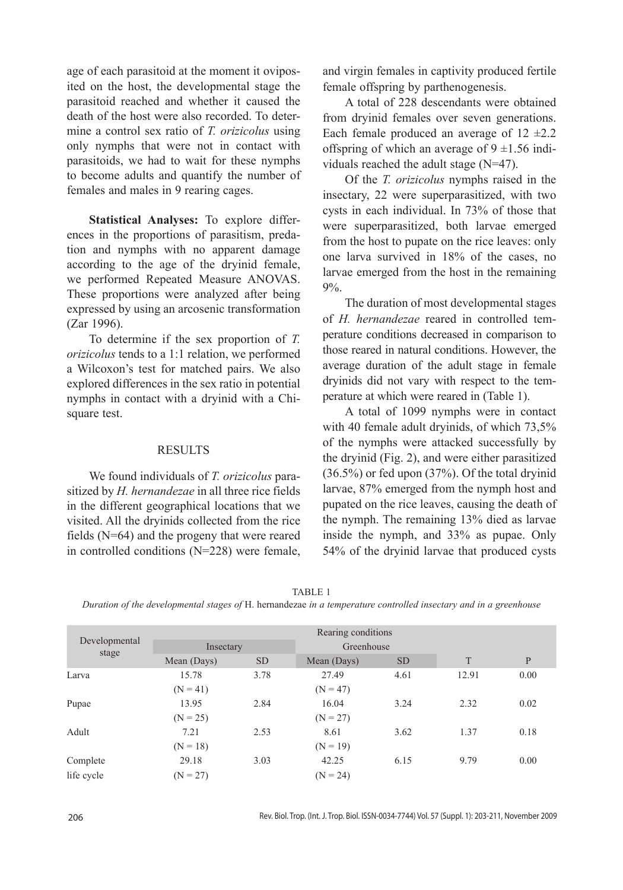age of each parasitoid at the moment it oviposited on the host, the developmental stage the parasitoid reached and whether it caused the death of the host were also recorded. To determine a control sex ratio of *T. orizicolus* using only nymphs that were not in contact with parasitoids, we had to wait for these nymphs to become adults and quantify the number of females and males in 9 rearing cages.

**Statistical Analyses:** To explore differences in the proportions of parasitism, predation and nymphs with no apparent damage according to the age of the dryinid female, we performed Repeated Measure ANOVAS. These proportions were analyzed after being expressed by using an arcosenic transformation (Zar 1996).

To determine if the sex proportion of *T. orizicolus* tends to a 1:1 relation, we performed a Wilcoxon's test for matched pairs. We also explored differences in the sex ratio in potential nymphs in contact with a dryinid with a Chisquare test.

### RESULTS

We found individuals of *T. orizicolus* parasitized by *H. hernandezae* in all three rice fields in the different geographical locations that we visited. All the dryinids collected from the rice fields (N=64) and the progeny that were reared in controlled conditions (N=228) were female, and virgin females in captivity produced fertile female offspring by parthenogenesis.

A total of 228 descendants were obtained from dryinid females over seven generations. Each female produced an average of  $12 \pm 2.2$ offspring of which an average of  $9 \pm 1.56$  individuals reached the adult stage (N=47).

Of the *T. orizicolus* nymphs raised in the insectary, 22 were superparasitized, with two cysts in each individual. In 73% of those that were superparasitized, both larvae emerged from the host to pupate on the rice leaves: only one larva survived in 18% of the cases, no larvae emerged from the host in the remaining 9%.

The duration of most developmental stages of *H. hernandezae* reared in controlled temperature conditions decreased in comparison to those reared in natural conditions. However, the average duration of the adult stage in female dryinids did not vary with respect to the temperature at which were reared in (Table 1).

A total of 1099 nymphs were in contact with 40 female adult dryinids, of which 73,5% of the nymphs were attacked successfully by the dryinid (Fig. 2), and were either parasitized (36.5%) or fed upon (37%). Of the total dryinid larvae, 87% emerged from the nymph host and pupated on the rice leaves, causing the death of the nymph. The remaining 13% died as larvae inside the nymph, and 33% as pupae. Only 54% of the dryinid larvae that produced cysts

*Duration of the developmental stages of* H. hernandezae *in a temperature controlled insectary and in a greenhouse*

| $\mathbf{P}$ |
|--------------|
| 0.00         |
|              |
| 0.02         |
|              |
| 0.18         |
|              |
| 0.00         |
|              |
|              |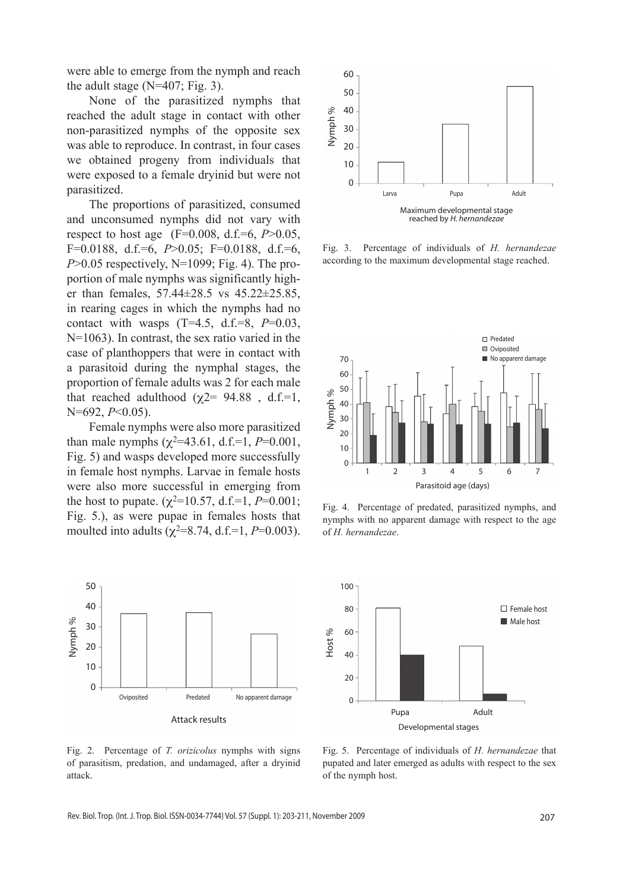were able to emerge from the nymph and reach the adult stage  $(N=407; Fig. 3)$ .

None of the parasitized nymphs that reached the adult stage in contact with other non-parasitized nymphs of the opposite sex was able to reproduce. In contrast, in four cases we obtained progeny from individuals that were exposed to a female dryinid but were not parasitized.

The proportions of parasitized, consumed and unconsumed nymphs did not vary with respect to host age (F=0.008, d.f.=6, *P*>0.05, F=0.0188, d.f.=6, *P*>0.05; F=0.0188, d.f.=6, *P*>0.05 respectively, N=1099; Fig. 4). The proportion of male nymphs was significantly higher than females, 57.44±28.5 vs 45.22±25.85, in rearing cages in which the nymphs had no contact with wasps (T=4.5, d.f.=8, *P*=0.03, N=1063). In contrast, the sex ratio varied in the case of planthoppers that were in contact with a parasitoid during the nymphal stages, the proportion of female adults was 2 for each male that reached adulthood ( $\chi$ 2= 94.88, d.f.=1, N=692, *P*<0.05).

Female nymphs were also more parasitized than male nymphs ( $\chi^2$ =43.61, d.f.=1, *P*=0.001, Fig. 5) and wasps developed more successfully in female host nymphs. Larvae in female hosts were also more successful in emerging from the host to pupate. ( $\chi^2$ =10.57, d.f.=1, *P*=0.001; Fig. 5.), as were pupae in females hosts that moulted into adults ( $\chi^2$ =8.74, d.f.=1, *P*=0.003).



Fig. 2. Percentage of *T. orizicolus* nymphs with signs of parasitism, predation, and undamaged, after a dryinid attack.



Fig. 3. Percentage of individuals of *H. hernandezae* according to the maximum developmental stage reached.



Fig. 4. Percentage of predated, parasitized nymphs, and nymphs with no apparent damage with respect to the age of *H. hernandezae*.



Fig. 5. Percentage of individuals of *H. hernandezae* that pupated and later emerged as adults with respect to the sex of the nymph host.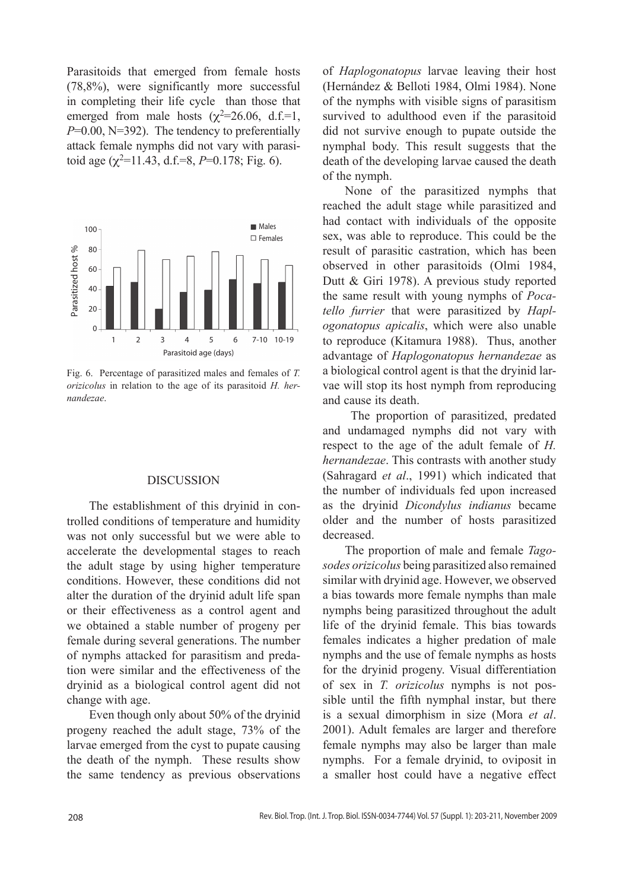Parasitoids that emerged from female hosts (78,8%), were significantly more successful in completing their life cycle than those that emerged from male hosts ( $\chi^2$ =26.06, d.f.=1, *P*=0.00, N=392). The tendency to preferentially attack female nymphs did not vary with parasitoid age  $(\chi^2=11.43, d.f.=8, P=0.178; Fig. 6)$ .



Fig. 6. Percentage of parasitized males and females of *T. orizicolus* in relation to the age of its parasitoid *H. hernandezae*.

### DISCUSSION

The establishment of this dryinid in controlled conditions of temperature and humidity was not only successful but we were able to accelerate the developmental stages to reach the adult stage by using higher temperature conditions. However, these conditions did not alter the duration of the dryinid adult life span or their effectiveness as a control agent and we obtained a stable number of progeny per female during several generations. The number of nymphs attacked for parasitism and predation were similar and the effectiveness of the dryinid as a biological control agent did not change with age.

Even though only about 50% of the dryinid progeny reached the adult stage, 73% of the larvae emerged from the cyst to pupate causing the death of the nymph. These results show the same tendency as previous observations of *Haplogonatopus* larvae leaving their host (Hernández & Belloti 1984, Olmi 1984). None of the nymphs with visible signs of parasitism survived to adulthood even if the parasitoid did not survive enough to pupate outside the nymphal body. This result suggests that the death of the developing larvae caused the death of the nymph.

None of the parasitized nymphs that reached the adult stage while parasitized and had contact with individuals of the opposite sex, was able to reproduce. This could be the result of parasitic castration, which has been observed in other parasitoids (Olmi 1984, Dutt & Giri 1978). A previous study reported the same result with young nymphs of *Pocatello furrier* that were parasitized by *Haplogonatopus apicalis*, which were also unable to reproduce (Kitamura 1988). Thus, another advantage of *Haplogonatopus hernandezae* as a biological control agent is that the dryinid larvae will stop its host nymph from reproducing and cause its death.

 The proportion of parasitized, predated and undamaged nymphs did not vary with respect to the age of the adult female of *H. hernandezae*. This contrasts with another study (Sahragard *et al*., 1991) which indicated that the number of individuals fed upon increased as the dryinid *Dicondylus indianus* became older and the number of hosts parasitized decreased.

The proportion of male and female *Tagosodes orizicolus* being parasitized also remained similar with dryinid age. However, we observed a bias towards more female nymphs than male nymphs being parasitized throughout the adult life of the dryinid female. This bias towards females indicates a higher predation of male nymphs and the use of female nymphs as hosts for the dryinid progeny. Visual differentiation of sex in *T. orizicolus* nymphs is not possible until the fifth nymphal instar, but there is a sexual dimorphism in size (Mora *et al*. 2001). Adult females are larger and therefore female nymphs may also be larger than male nymphs. For a female dryinid, to oviposit in a smaller host could have a negative effect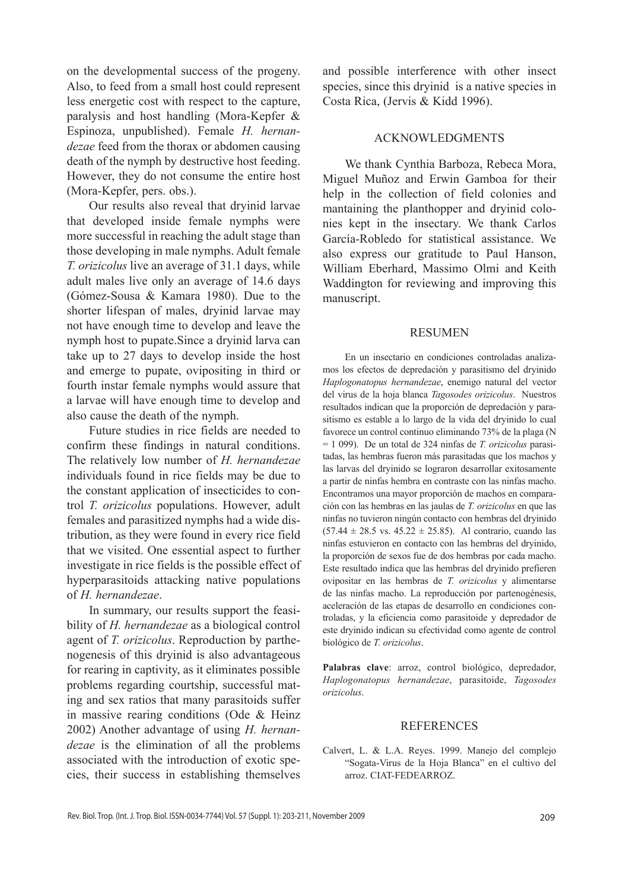on the developmental success of the progeny. Also, to feed from a small host could represent less energetic cost with respect to the capture, paralysis and host handling (Mora-Kepfer & Espinoza, unpublished). Female *H. hernandezae* feed from the thorax or abdomen causing death of the nymph by destructive host feeding. However, they do not consume the entire host (Mora-Kepfer, pers. obs.).

Our results also reveal that dryinid larvae that developed inside female nymphs were more successful in reaching the adult stage than those developing in male nymphs. Adult female *T. orizicolus* live an average of 31.1 days, while adult males live only an average of 14.6 days (Gómez-Sousa & Kamara 1980). Due to the shorter lifespan of males, dryinid larvae may not have enough time to develop and leave the nymph host to pupate.Since a dryinid larva can take up to 27 days to develop inside the host and emerge to pupate, ovipositing in third or fourth instar female nymphs would assure that a larvae will have enough time to develop and also cause the death of the nymph.

Future studies in rice fields are needed to confirm these findings in natural conditions. The relatively low number of *H. hernandezae*  individuals found in rice fields may be due to the constant application of insecticides to control *T. orizicolus* populations. However, adult females and parasitized nymphs had a wide distribution, as they were found in every rice field that we visited. One essential aspect to further investigate in rice fields is the possible effect of hyperparasitoids attacking native populations of *H. hernandezae*.

In summary, our results support the feasibility of *H. hernandezae* as a biological control agent of *T. orizicolus*. Reproduction by parthenogenesis of this dryinid is also advantageous for rearing in captivity, as it eliminates possible problems regarding courtship, successful mating and sex ratios that many parasitoids suffer in massive rearing conditions (Ode & Heinz 2002) Another advantage of using *H. hernandezae* is the elimination of all the problems associated with the introduction of exotic species, their success in establishing themselves

and possible interference with other insect species, since this dryinid is a native species in Costa Rica, (Jervis & Kidd 1996).

## ACKNOWLEDGMENTS

We thank Cynthia Barboza, Rebeca Mora, Miguel Muñoz and Erwin Gamboa for their help in the collection of field colonies and mantaining the planthopper and dryinid colonies kept in the insectary. We thank Carlos García-Robledo for statistical assistance. We also express our gratitude to Paul Hanson, William Eberhard, Massimo Olmi and Keith Waddington for reviewing and improving this manuscript.

#### **RESUMEN**

En un insectario en condiciones controladas analizamos los efectos de depredación y parasitismo del dryinido *Haplogonatopus hernandezae*, enemigo natural del vector del virus de la hoja blanca *Tagosodes orizicolus*. Nuestros resultados indican que la proporción de depredación y parasitismo es estable a lo largo de la vida del dryinido lo cual favorece un control continuo eliminando 73% de la plaga (N = 1 099). De un total de 324 ninfas de *T. orizicolus* parasitadas, las hembras fueron más parasitadas que los machos y las larvas del dryinido se lograron desarrollar exitosamente a partir de ninfas hembra en contraste con las ninfas macho. Encontramos una mayor proporción de machos en comparación con las hembras en las jaulas de *T. orizicolus* en que las ninfas no tuvieron ningún contacto con hembras del dryinido  $(57.44 \pm 28.5 \text{ vs. } 45.22 \pm 25.85)$ . Al contrario, cuando las ninfas estuvieron en contacto con las hembras del dryinido, la proporción de sexos fue de dos hembras por cada macho. Este resultado indica que las hembras del dryinido prefieren ovipositar en las hembras de *T. orizicolus* y alimentarse de las ninfas macho. La reproducción por partenogénesis, aceleración de las etapas de desarrollo en condiciones controladas, y la eficiencia como parasitoide y depredador de este dryinido indican su efectividad como agente de control biológico de *T. orizicolus*.

**Palabras clave**: arroz, control biológico, depredador, *Haplogonatopus hernandezae*, parasitoide, *Tagosodes orizicolus*.

#### REFERENCES

Calvert, L. & L.A. Reyes. 1999. Manejo del complejo "Sogata-Virus de la Hoja Blanca" en el cultivo del arroz. CIAT-FEDEARROZ.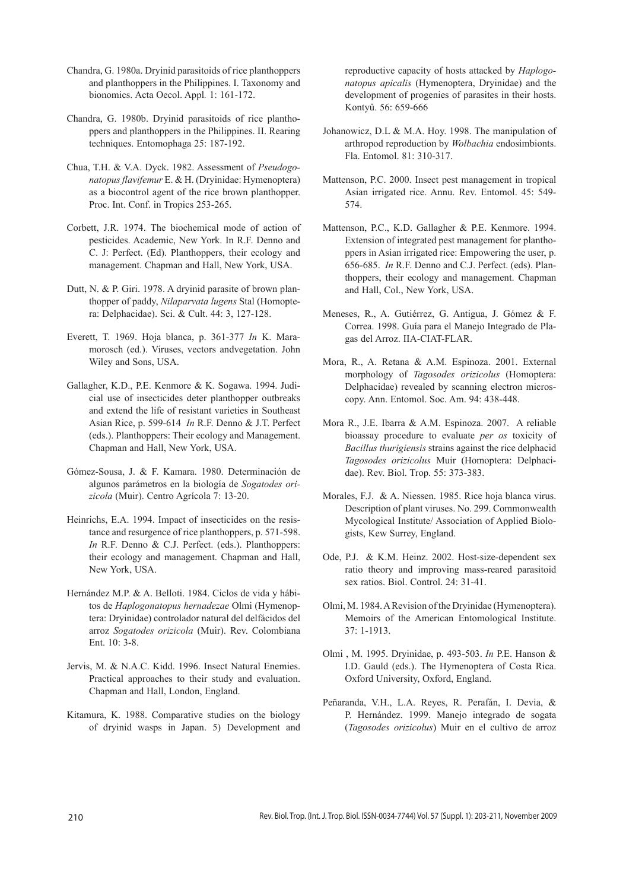- Chandra, G. 1980a. Dryinid parasitoids of rice planthoppers and planthoppers in the Philippines. I. Taxonomy and bionomics. Acta Oecol. Appl*.* 1: 161-172.
- Chandra, G. 1980b. Dryinid parasitoids of rice planthoppers and planthoppers in the Philippines. II. Rearing techniques. Entomophaga 25: 187-192.
- Chua, T.H. & V.A. Dyck. 1982. Assessment of *Pseudogonatopus flavifemur* E. & H. (Dryinidae: Hymenoptera) as a biocontrol agent of the rice brown planthopper. Proc. Int. Conf. in Tropics 253-265.
- Corbett, J.R. 1974. The biochemical mode of action of pesticides. Academic, New York. In R.F. Denno and C. J: Perfect. (Ed). Planthoppers, their ecology and management. Chapman and Hall, New York, USA.
- Dutt, N. & P. Giri. 1978. A dryinid parasite of brown planthopper of paddy, *Nilaparvata lugens* Stal (Homoptera: Delphacidae). Sci. & Cult. 44: 3, 127-128.
- Everett, T. 1969. Hoja blanca, p. 361-377 *In* K. Maramorosch (ed.). Viruses, vectors andvegetation. John Wiley and Sons, USA.
- Gallagher, K.D., P.E. Kenmore & K. Sogawa. 1994. Judicial use of insecticides deter planthopper outbreaks and extend the life of resistant varieties in Southeast Asian Rice, p. 599-614 *In* R.F. Denno & J.T. Perfect (eds.). Planthoppers: Their ecology and Management. Chapman and Hall, New York, USA.
- Gómez-Sousa, J. & F. Kamara. 1980. Determinación de algunos parámetros en la biología de *Sogatodes orizicola* (Muir). Centro Agrícola 7: 13-20.
- Heinrichs, E.A. 1994. Impact of insecticides on the resistance and resurgence of rice planthoppers, p. 571-598. *In* R.F. Denno & C.J. Perfect. (eds.). Planthoppers: their ecology and management. Chapman and Hall, New York, USA.
- Hernández M.P. & A. Belloti. 1984. Ciclos de vida y hábitos de *Haplogonatopus hernadezae* Olmi (Hymenoptera: Dryinidae) controlador natural del delfácidos del arroz *Sogatodes orizicola* (Muir). Rev. Colombiana Ent. 10: 3-8.
- Jervis, M. & N.A.C. Kidd. 1996. Insect Natural Enemies. Practical approaches to their study and evaluation. Chapman and Hall, London, England.
- Kitamura, K. 1988. Comparative studies on the biology of dryinid wasps in Japan. 5) Development and

reproductive capacity of hosts attacked by *Haplogonatopus apicalis* (Hymenoptera, Dryinidae) and the development of progenies of parasites in their hosts. Kontyû. 56: 659-666

- Johanowicz, D.L & M.A. Hoy. 1998. The manipulation of arthropod reproduction by *Wolbachia* endosimbionts. Fla. Entomol. 81: 310-317.
- Mattenson, P.C. 2000. Insect pest management in tropical Asian irrigated rice. Annu. Rev. Entomol. 45: 549- 574.
- Mattenson, P.C., K.D. Gallagher & P.E. Kenmore. 1994. Extension of integrated pest management for planthoppers in Asian irrigated rice: Empowering the user, p. 656-685. *In* R.F. Denno and C.J. Perfect. (eds). Planthoppers, their ecology and management. Chapman and Hall, Col., New York, USA.
- Meneses, R., A. Gutiérrez, G. Antigua, J. Gómez & F. Correa. 1998. Guía para el Manejo Integrado de Plagas del Arroz. IIA-CIAT-FLAR.
- Mora, R., A. Retana & A.M. Espinoza. 2001. External morphology of *Tagosodes orizicolus* (Homoptera: Delphacidae) revealed by scanning electron microscopy. Ann. Entomol. Soc. Am. 94: 438-448.
- Mora R., J.E. Ibarra & A.M. Espinoza. 2007. A reliable bioassay procedure to evaluate *per os* toxicity of *Bacillus thurigiensis* strains against the rice delphacid *Tagosodes orizicolus* Muir (Homoptera: Delphacidae). Rev. Biol. Trop. 55: 373-383.
- Morales, F.J. & A. Niessen. 1985. Rice hoja blanca virus. Description of plant viruses. No. 299. Commonwealth Mycological Institute/ Association of Applied Biologists, Kew Surrey, England.
- Ode, P.J. & K.M. Heinz. 2002. Host-size-dependent sex ratio theory and improving mass-reared parasitoid sex ratios. Biol. Control. 24: 31-41.
- Olmi, M. 1984. A Revision of the Dryinidae (Hymenoptera). Memoirs of the American Entomological Institute. 37: 1-1913.
- Olmi , M. 1995. Dryinidae, p. 493-503. *In* P.E. Hanson & I.D. Gauld (eds.). The Hymenoptera of Costa Rica. Oxford University, Oxford, England.
- Peñaranda, V.H., L.A. Reyes, R. Perafán, I. Devia, & P. Hernández. 1999. Manejo integrado de sogata (*Tagosodes orizicolus*) Muir en el cultivo de arroz